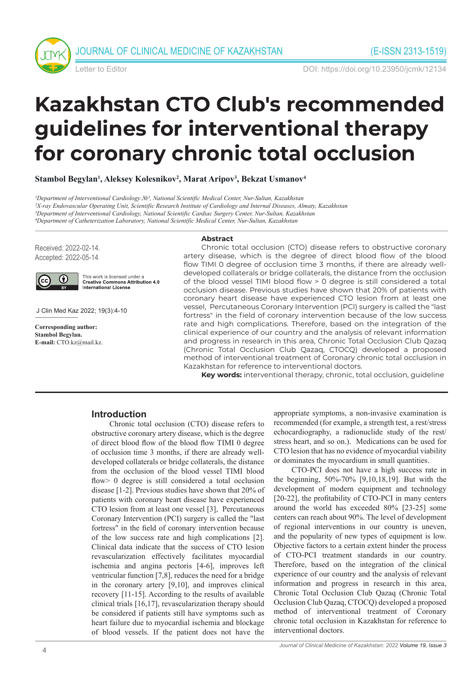



Letter to Editor DOI: https://doi.org/10.23950/jcmk/12134

# **Kazakhstan CTO Club's recommended guidelines for interventional therapy for coronary chronic total occlusion**

**Stambol Begylan1 , Aleksey Kolesnikov2 , Marat Aripov3 , Bekzat Usmanov4**

*1Department of Interventional Cardiology №1, National Scientific Medical Center, Nur-Sultan, Kazakhstan 2X-ray Endovascular Operating Unit, Scientific Research Institute of Cardiology and Internal Diseases, Almaty, Kazakhstan 3Department of Interventional Cardiology, National Scientific Cardiac Surgery Center, Nur-Sultan, Kazakhstan 4Department of Catheterization Laboratory, National Scientific Medical Center, Nur-Sultan, Kazakhstan*

Received: 2022-02-14. Accepted: 2022-05-14



This work is licensed under a **Creative Commons Attribution 4.0** International License

J Clin Med Kaz 2022; 19(3):4-10

**Corresponding author: Stambol Begylan. E-mail:** CTO.kz@mail.kz.

#### **Abstract**

Chronic total occlusion (CTO) disease refers to obstructive coronary artery disease, which is the degree of direct blood flow of the blood flow TIMI 0 degree of occlusion time 3 months, if there are already welldeveloped collaterals or bridge collaterals, the distance from the occlusion of the blood vessel TIMI blood flow > 0 degree is still considered a total occlusion disease. Previous studies have shown that 20% of patients with coronary heart disease have experienced CTO lesion from at least one vessel, Percutaneous Coronary Intervention (PCI) surgery is called the "last fortress" in the field of coronary intervention because of the low success rate and high complications. Therefore, based on the integration of the clinical experience of our country and the analysis of relevant information and progress in research in this area, Chronic Total Occlusion Club Qazaq (Chronic Total Occlusion Club Qazaq, CTOCQ) developed a proposed method of interventional treatment of Coronary chronic total occlusion in Kazakhstan for reference to interventional doctors.

**Key words:** interventional therapy, chronic, total occlusion, guideline

# **Introduction**

Chronic total occlusion (CTO) disease refers to obstructive coronary artery disease, which is the degree of direct blood flow of the blood flow TIMI 0 degree of occlusion time 3 months, if there are already welldeveloped collaterals or bridge collaterals, the distance from the occlusion of the blood vessel TIMI blood flow> 0 degree is still considered a total occlusion disease [1-2]. Previous studies have shown that 20% of patients with coronary heart disease have experienced CTO lesion from at least one vessel [3], Percutaneous Coronary Intervention (PCI) surgery is called the "last fortress" in the field of coronary intervention because of the low success rate and high complications [2]. Clinical data indicate that the success of CTO lesion revascularization effectively facilitates myocardial ischemia and angina pectoris [4-6], improves left ventricular function [7,8], reduces the need for a bridge in the coronary artery [9,10], and improves clinical recovery [11-15]. According to the results of available clinical trials [16,17], revascularization therapy should be considered if patients still have symptoms such as heart failure due to myocardial ischemia and blockage of blood vessels. If the patient does not have the

appropriate symptoms, a non-invasive examination is recommended (for example, a strength test, a rest/stress echocardiography, a radionuclide study of the rest/ stress heart, and so on.). Medications can be used for CTO lesion that has no evidence of myocardial viability or dominates the myocardium in small quantities.

CTO-PCI does not have a high success rate in the beginning, 50%-70% [9,10,18,19]. But with the development of modern equipment and technology [20-22], the profitability of CTO-PCI in many centers around the world has exceeded 80% [23-25] some centers can reach about 90%. The level of development of regional interventions in our country is uneven, and the popularity of new types of equipment is low. Objective factors to a certain extent hinder the process of CTO-PCI treatment standards in our country. Therefore, based on the integration of the clinical experience of our country and the analysis of relevant information and progress in research in this area, Chronic Total Occlusion Club Qazaq (Chronic Total Occlusion Club Qazaq, CTOCQ) developed a proposed method of interventional treatment of Coronary chronic total occlusion in Kazakhstan for reference to interventional doctors.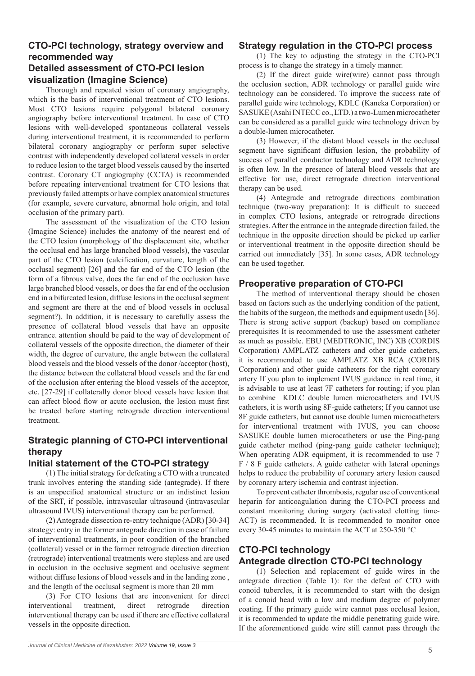# **CTO-PCI technology, strategy overview and recommended way Detailed assessment of CTO-PCI lesion visualization (Imagine Science)**

Thorough and repeated vision of coronary angiography, which is the basis of interventional treatment of CTO lesions. Most CTO lesions require polygonal bilateral coronary angiography before interventional treatment. In case of CTO lesions with well-developed spontaneous collateral vessels during interventional treatment, it is recommended to perform bilateral coronary angiography or perform super selective contrast with independently developed collateral vessels in order to reduce lesion to the target blood vessels caused by the inserted contrast. Coronary CT angiography (CCTA) is recommended before repeating interventional treatment for CTO lesions that previously failed attempts or have complex anatomical structures (for example, severe curvature, abnormal hole origin, and total occlusion of the primary part).

The assessment of the visualization of the CTO lesion (Imagine Science) includes the anatomy of the nearest end of the CTO lesion (morphology of the displacement site, whether the occlusal end has large branched blood vessels), the vascular part of the CTO lesion (calcification, curvature, length of the occlusal segment) [26] and the far end of the CTO lesion (the form of a fibrous valve, does the far end of the occlusion have large branched blood vessels, or does the far end of the occlusion end in a bifurcated lesion, diffuse lesions in the occlusal segment and segment are there at the end of blood vessels in occlusal segment?). In addition, it is necessary to carefully assess the presence of collateral blood vessels that have an opposite entrance. attention should be paid to the way of development of collateral vessels of the opposite direction, the diameter of their width, the degree of curvature, the angle between the collateral blood vessels and the blood vessels of the donor /acceptor (host), the distance between the collateral blood vessels and the far end of the occlusion after entering the blood vessels of the acceptor, etc. [27-29] if collaterally donor blood vessels have lesion that can affect blood flow or acute occlusion, the lesion must first be treated before starting retrograde direction interventional treatment.

# **Strategic planning of CTO-PCI interventional therapy**

## **Initial statement of the CTO-PCI strategy**

(1) The initial strategy for defeating a CTO with a truncated trunk involves entering the standing side (antegrade). If there is an unspecified anatomical structure or an indistinct lesion of the SRT, if possible, intravascular ultrasound (intravascular ultrasound IVUS) interventional therapy can be performed.

(2) Antegrade dissection re-entry technique (ADR) [30-34] strategy: entry in the former antegrade direction in case of failure of interventional treatments, in poor condition of the branched (collateral) vessel or in the former retrograde direction direction (retrograde) interventional treatments were stepless and are used in occlusion in the occlusive segment and occlusive segment without diffuse lesions of blood vessels and in the landing zone , and the length of the occlusal segment is more than 20 mm

(3) For CTO lesions that are inconvenient for direct interventional treatment, direct retrograde direction interventional therapy can be used if there are effective collateral vessels in the opposite direction.

#### **Strategy regulation in the CTO-PCI process**

(1) The key to adjusting the strategy in the CTO-PCI process is to change the strategy in a timely manner.

(2) If the direct guide wire(wire) cannot pass through the occlusion section, ADR technology or parallel guide wire technology can be considered. To improve the success rate of parallel guide wire technology, KDLC (Kaneka Corporation) or SASUKE (Asahi INTECC co., LTD.) a two-Lumen microcatheter can be considered as a parallel guide wire technology driven by a double-lumen microcatheter.

(3) However, if the distant blood vessels in the occlusal segment have significant diffusion lesion, the probability of success of parallel conductor technology and ADR technology is often low. In the presence of lateral blood vessels that are effective for use, direct retrograde direction interventional therapy can be used.

(4) Antegrade and retrograde directions combination technique (two-way preparation): It is difficult to succeed in complex CTO lesions, antegrade or retrograde directions strategies. After the entrance in the antegrade direction failed, the technique in the opposite direction should be picked up earlier or interventional treatment in the opposite direction should be carried out immediately [35]. In some cases, ADR technology can be used together.

### **Preoperative preparation of CTO-PCI**

The method of interventional therapy should be chosen based on factors such as the underlying condition of the patient, the habits of the surgeon, the methods and equipment usedn [36]. There is strong active support (backup) based on compliance prerequisites It is recommended to use the assessment catheter as much as possible. EBU (MEDTRONIC, INC) XB (CORDIS Corporation) AMPLATZ catheters and other guide catheters, it is recommended to use AMPLATZ XB RCA (CORDIS Corporation) and other guide catheters for the right coronary artery If you plan to implement IVUS guidance in real time, it is advisable to use at least 7F catheters for routing; if you plan to combine KDLC double lumen microcatheters and IVUS catheters, it is worth using 8F-guide catheters; If you cannot use 8F guide catheters, but cannot use double lumen microcatheters for interventional treatment with IVUS, you can choose SASUKE double lumen microcatheters or use the Ping-pang guide catheter method (ping-pang guide catheter technique); When operating ADR equipment, it is recommended to use 7 F / 8 F guide catheters. A guide catheter with lateral openings helps to reduce the probability of coronary artery lesion caused by coronary artery ischemia and contrast injection.

To prevent catheter thrombosis, regular use of conventional heparin for anticoagulation during the CTO-PCI process and constant monitoring during surgery (activated clotting time-ACT) is recommended. It is recommended to monitor once every 30-45 minutes to maintain the ACT at 250-350 °C

# **CTO-PCI technology Antegrade direction CTO-PCI technology**

(1) Selection and replacement of guide wires in the antegrade direction (Table 1): for the defeat of CTO with conoid tubercles, it is recommended to start with the design of a conoid head with a low and medium degree of polymer coating. If the primary guide wire cannot pass occlusal lesion, it is recommended to update the middle penetrating guide wire. If the aforementioned guide wire still cannot pass through the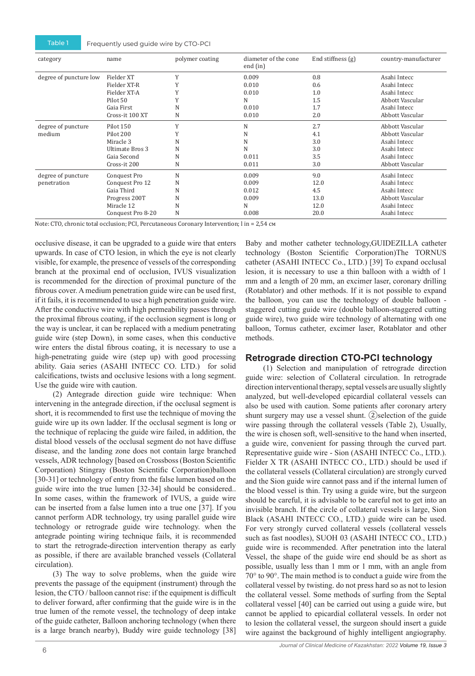| category               | name              | polymer coating | diameter of the cone<br>end (in) | End stiffness $(g)$ | country-manufacturer |
|------------------------|-------------------|-----------------|----------------------------------|---------------------|----------------------|
| degree of puncture low | Fielder XT        | Y               | 0.009                            | 0.8                 | Asahi Intecc         |
|                        | Fielder XT-R      |                 | 0.010                            | 0.6                 | Asahi Intecc         |
|                        | Fielder XT-A      |                 | 0.010                            | 1.0                 | Asahi Intecc         |
|                        | Pilot 50          |                 | N                                | 1.5                 | Abbott Vascular      |
|                        | Gaia First        | N               | 0.010                            | 1.7                 | Asahi Intecc         |
|                        | Cross-it 100 XT   | N               | 0.010                            | 2.0                 | Abbott Vascular      |
| degree of puncture     | Pilot 150         | Y               | N                                | 2.7                 | Abbott Vascular      |
| medium                 | Pilot 200         |                 | N                                | 4.1                 | Abbott Vascular      |
|                        | Miracle 3         | N               | N                                | 3.0                 | Asahi Intecc         |
|                        | Ultimate Bros 3   | N               | N                                | 3.0                 | Asahi Intecc         |
|                        | Gaia Second       | N               | 0.011                            | 3.5                 | Asahi Intecc         |
|                        | Cross-it 200      | N               | 0.011                            | 3.0                 | Abbott Vascular      |
| degree of puncture     | Conquest Pro      | N               | 0.009                            | 9.0                 | Asahi Intecc         |
| penetration            | Conquest Pro 12   | N               | 0.009                            | 12.0                | Asahi Intecc         |
|                        | Gaia Third        | N               | 0.012                            | 4.5                 | Asahi Intecc         |
|                        | Progress 200T     | N               | 0.009                            | 13.0                | Abbott Vascular      |
|                        | Miracle 12        | N               | N                                | 12.0                | Asahi Intecc         |
|                        | Conquest Pro 8-20 | N               | 0.008                            | 20.0                | Asahi Intecc         |

Note: CTO, chronic total occlusion; PCI, Percutaneous Coronary Intervention; l in = 2,54 см

occlusive disease, it can be upgraded to a guide wire that enters upwards. In case of CTO lesion, in which the eye is not clearly visible, for example, the presence of vessels of the corresponding branch at the proximal end of occlusion, IVUS visualization is recommended for the direction of proximal puncture of the fibrous cover. A medium penetration guide wire can be used first, if it fails, it is recommended to use a high penetration guide wire. After the conductive wire with high permeability passes through the proximal fibrous coating, if the occlusion segment is long or the way is unclear, it can be replaced with a medium penetrating guide wire (step Down), in some cases, when this conductive wire enters the distal fibrous coating, it is necessary to use a high-penetrating guide wire (step up) with good processing ability. Gaia series (ASAHI INTECC CO. LTD.) for solid calcifications, twists and occlusive lesions with a long segment. Use the guide wire with caution.

(2) Antegrade direction guide wire technique: When intervening in the antegrade direction, if the occlusal segment is short, it is recommended to first use the technique of moving the guide wire up its own ladder. If the occlusal segment is long or the technique of replacing the guide wire failed, in addition, the distal blood vessels of the occlusal segment do not have diffuse disease, and the landing zone does not contain large branched vessels, ADR technology [based on Crossboss (Boston Scientific Corporation) Stingray (Boston Scientific Corporation)balloon [30-31] or technology of entry from the false lumen based on the guide wire into the true lumen [32-34] should be considered.. In some cases, within the framework of IVUS, a guide wire can be inserted from a false lumen into a true one [37]. If you cannot perform ADR technology, try using parallel guide wire technology or retrograde guide wire technology. when the antegrade pointing wiring technique fails, it is recommended to start the retrograde-direction intervention therapy as early as possible, if there are available branched vessels (Collateral circulation).

(3) The way to solve problems, when the guide wire prevents the passage of the equipment (instrument) through the lesion, the CTO / balloon cannot rise: if the equipment is difficult to deliver forward, after confirming that the guide wire is in the true lumen of the remote vessel, the technology of deep intake of the guide catheter, Balloon anchoring technology (when there is a large branch nearby), Buddy wire guide technology [38]

Baby and mother catheter technology,GUIDEZILLA catheter technology (Boston Scientific Corporation)The TORNUS catheter (ASAHI INTECC Co., LTD.) [39] To expand occlusal lesion, it is necessary to use a thin balloon with a width of 1 mm and a length of 20 mm, an excimer laser, coronary drilling (Rotablator) and other methods. If it is not possible to expand the balloon, you can use the technology of double balloon staggered cutting guide wire (double balloon-staggered cutting guide wire), two guide wire technology of alternating with one balloon, Tornus catheter, excimer laser, Rotablator and other methods.

#### **Retrograde direction CTO-PCI technology**

(1) Selection and manipulation of retrograde direction guide wire: selection of Collateral circulation. In retrograde direction interventional therapy, septal vessels are usually slightly analyzed, but well-developed epicardial collateral vessels can also be used with caution. Some patients after coronary artery shunt surgery may use a vessel shunt.  $(2)$ selection of the guide wire passing through the collateral vessels (Table 2), Usually, the wire is chosen soft, well-sensitive to the hand when inserted, a guide wire, convenient for passing through the curved part. Representative guide wire - Sion (ASAHI INTECC Co., LTD.). Fielder X TR (ASAHI INTECC CO., LTD.) should be used if the collateral vessels (Collateral circulation) are strongly curved and the Sion guide wire cannot pass and if the internal lumen of the blood vessel is thin. Try using a guide wire, but the surgeon should be careful, it is advisable to be careful not to get into an invisible branch. If the circle of collateral vessels is large, Sion Black (ASAHI INTECC CO., LTD.) guide wire can be used. For very strongly curved collateral vessels (collateral vessels such as fast noodles), SUOH 03 (ASAHI INTECC CO., LTD.) guide wire is recommended. After penetration into the lateral Vessel, the shape of the guide wire end should be as short as possible, usually less than 1 mm or 1 mm, with an angle from 70° to 90°. The main method is to conduct a guide wire from the collateral vessel by twisting. do not press hard so as not to lesion the collateral vessel. Some methods of surfing from the Septal collateral vessel [40] can be carried out using a guide wire, but cannot be applied to epicardial collateral vessels. In order not to lesion the collateral vessel, the surgeon should insert a guide wire against the background of highly intelligent angiography.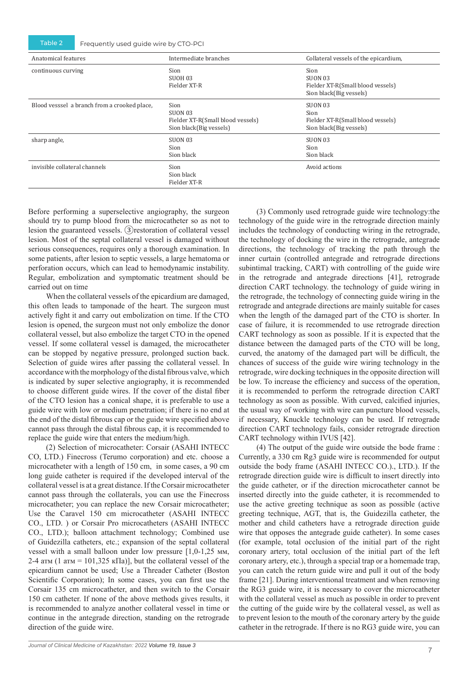Table 2 Frequently used guide wire by CTO-PCI

| Anatomical features                          | Intermediate branches                                                           | Collateral vessels of the epicardium,                                           |
|----------------------------------------------|---------------------------------------------------------------------------------|---------------------------------------------------------------------------------|
| continuous curving                           | Sion<br>SUOH 03<br>Fielder XT-R                                                 | Sion<br>SUON 03<br>Fielder XT-R(Small blood vessels)<br>Sion black(Big vessels) |
| Blood vesssel a branch from a crooked place, | Sion<br>SUON 03<br>Fielder XT-R(Small blood vessels)<br>Sion black(Big vessels) | SUON 03<br>Sion<br>Fielder XT-R(Small blood vessels)<br>Sion black(Big vessels) |
| sharp angle,                                 | SUON 03<br>Sion<br>Sion black                                                   | <b>SUON 03</b><br>Sion<br>Sion black                                            |
| invisible collateral channels                | Sion<br>Sion black<br>Fielder XT-R                                              | Avoid actions                                                                   |

Before performing a superselective angiography, the surgeon should try to pump blood from the microcatheter so as not to lesion the guaranteed vessels. ③restoration of collateral vessel lesion. Most of the septal collateral vessel is damaged without serious consequences, requires only a thorough examination. In some patients, after lesion to septic vessels, a large hematoma or perforation occurs, which can lead to hemodynamic instability. Regular, embolization and symptomatic treatment should be carried out on time

When the collateral vessels of the epicardium are damaged, this often leads to tamponade of the heart. The surgeon must actively fight it and carry out embolization on time. If the CTO lesion is opened, the surgeon must not only embolize the donor collateral vessel, but also embolize the target CTO in the opened vessel. If some collateral vessel is damaged, the microcatheter can be stopped by negative pressure, prolonged suction back. Selection of guide wires after passing the collateral vessel. In accordance with the morphology of the distal fibrous valve, which is indicated by super selective angiography, it is recommended to choose different guide wires. If the cover of the distal fiber of the CTO lesion has a conical shape, it is preferable to use a guide wire with low or medium penetration; if there is no end at the end of the distal fibrous cap or the guide wire specified above cannot pass through the distal fibrous cap, it is recommended to replace the guide wire that enters the medium/high.

(2) Selection of microcatheter: Corsair (ASAHI INTECC CO, LTD.) Finecross (Terumo corporation) and etc. choose a microcatheter with a length of 150 cm, in some cases, a 90 cm long guide catheter is required if the developed interval of the collateral vessel is at a great distance. If the Corsair microcatheter cannot pass through the collaterals, you can use the Finecross microcatheter; you can replace the new Corsair microcatheter; Use the Caravel 150 cm microcatheter (ASAHI INTECC CO., LTD. ) or Corsair Pro microcatheters (ASAHI INTECC CO., LTD.); balloon attachment technology; Combined use of Guidezilla catheters, etc.; expansion of the septal collateral vessel with a small balloon under low pressure [1,0-1,25 мм, 2-4 атм (1 атм = 101,325 кПа)], but the collateral vessel of the epicardium cannot be used; Use a Threader Catheter (Boston Scientific Corporation); In some cases, you can first use the Corsair 135 cm microcatheter, and then switch to the Corsair 150 cm catheter. If none of the above methods gives results, it is recommended to analyze another collateral vessel in time or continue in the antegrade direction, standing on the retrograde direction of the guide wire.

(3) Commonly used retrograde guide wire technology:the technology of the guide wire in the retrograde direction mainly includes the technology of conducting wiring in the retrograde, the technology of docking the wire in the retrograde, antegrade directions, the technology of tracking the path through the inner curtain (controlled antegrade and retrograde directions subintimal tracking, CART) with controlling of the guide wire in the retrograde and antegrade directions [41], retrograde direction CART technology. the technology of guide wiring in the retrograde, the technology of connecting guide wiring in the retrograde and antegrade directions are mainly suitable for cases when the length of the damaged part of the CTO is shorter. In case of failure, it is recommended to use retrograde direction CART technology as soon as possible. If it is expected that the distance between the damaged parts of the CTO will be long, curved, the anatomy of the damaged part will be difficult, the chances of success of the guide wire wiring technology in the retrograde, wire docking techniques in the opposite direction will be low. To increase the efficiency and success of the operation, it is recommended to perform the retrograde direction CART technology as soon as possible. With curved, calcified injuries, the usual way of working with wire can puncture blood vessels, if necessary, Knuckle technology can be used. If retrograde direction CART technology fails, consider retrograde direction CART technology within IVUS [42].

(4) The output of the guide wire outside the bode frame : Currently, a 330 cm Rg3 guide wire is recommended for output outside the body frame (ASAHI INTECC CO.)., LTD.). If the retrograde direction guide wire is difficult to insert directly into the guide catheter, or if the direction microcatheter cannot be inserted directly into the guide catheter, it is recommended to use the active greeting technique as soon as possible (active greeting technique, AGT, that is, the Guidezilla catheter, the mother and child catheters have a retrograde direction guide wire that opposes the antegrade guide catheter). In some cases (for example, total occlusion of the initial part of the right coronary artery, total occlusion of the initial part of the left coronary artery, etc.), through a special trap or a homemade trap, you can catch the return guide wire and pull it out of the body frame [21]. During interventional treatment and when removing the RG3 guide wire, it is necessary to cover the microcatheter with the collateral vessel as much as possible in order to prevent the cutting of the guide wire by the collateral vessel, as well as to prevent lesion to the mouth of the coronary artery by the guide catheter in the retrograde. If there is no RG3 guide wire, you can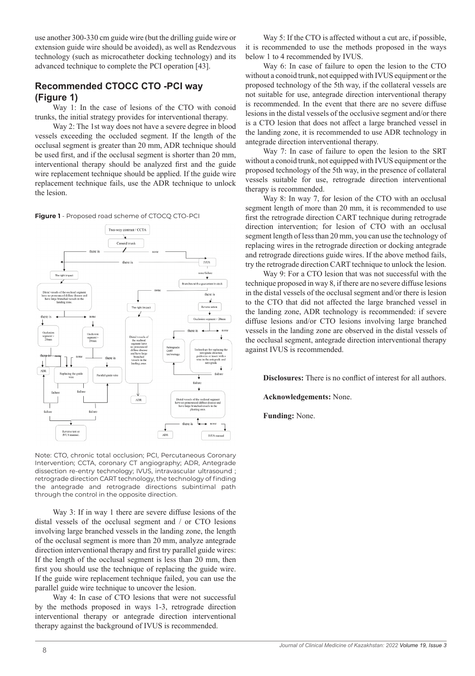use another 300-330 cm guide wire (but the drilling guide wire or extension guide wire should be avoided), as well as Rendezvous technology (such as microcatheter docking technology) and its advanced technique to complete the PCI operation [43].

# **Recommended CTOCC CTO -PCI way (Figure 1)**

Way 1: In the case of lesions of the CTO with conoid trunks, the initial strategy provides for interventional therapy.

Way 2: The 1st way does not have a severe degree in blood vessels exceeding the occluded segment. If the length of the occlusal segment is greater than 20 mm, ADR technique should be used first, and if the occlusal segment is shorter than 20 mm, interventional therapy should be analyzed first and the guide wire replacement technique should be applied. If the guide wire replacement technique fails, use the ADR technique to unlock the lesion.

**Figure 1** - Proposed road scheme of CTOCQ CTO-PCI



Note: CTO, chronic total occlusion; PCI, Percutaneous Coronary Intervention; CCTA, coronary CT angiography; ADR, Antegrade dissection re-entry technology; IVUS, intravascular ultrasound ; retrograde direction CART technology, the technology of finding the antegrade and retrograde directions subintimal path through the control in the opposite direction.

Way 3: If in way 1 there are severe diffuse lesions of the distal vessels of the occlusal segment and / or CTO lesions involving large branched vessels in the landing zone, the length of the occlusal segment is more than 20 mm, analyze antegrade direction interventional therapy and first try parallel guide wires: If the length of the occlusal segment is less than 20 mm, then first you should use the technique of replacing the guide wire. If the guide wire replacement technique failed, you can use the parallel guide wire technique to uncover the lesion.

Way 4: In case of CTO lesions that were not successful by the methods proposed in ways 1-3, retrograde direction interventional therapy or antegrade direction interventional therapy against the background of IVUS is recommended.

Way 5: If the CTO is affected without a cut arc, if possible, it is recommended to use the methods proposed in the ways below 1 to 4 recommended by IVUS.

Way 6: In case of failure to open the lesion to the CTO without a conoid trunk, not equipped with IVUS equipment or the proposed technology of the 5th way, if the collateral vessels are not suitable for use, antegrade direction interventional therapy is recommended. In the event that there are no severe diffuse lesions in the distal vessels of the occlusive segment and/or there is a CTO lesion that does not affect a large branched vessel in the landing zone, it is recommended to use ADR technology in antegrade direction interventional therapy.

Way 7: In case of failure to open the lesion to the SRT without a conoid trunk, not equipped with IVUS equipment or the proposed technology of the 5th way, in the presence of collateral vessels suitable for use, retrograde direction interventional therapy is recommended.

Way 8: In way 7, for lesion of the CTO with an occlusal segment length of more than 20 mm, it is recommended to use first the retrograde direction CART technique during retrograde direction intervention; for lesion of CTO with an occlusal segment length of less than 20 mm, you can use the technology of replacing wires in the retrograde direction or docking antegrade and retrograde directions guide wires. If the above method fails, try the retrograde direction CART technique to unlock the lesion.

Way 9: For a CTO lesion that was not successful with the technique proposed in way 8, if there are no severe diffuse lesions in the distal vessels of the occlusal segment and/or there is lesion to the CTO that did not affected the large branched vessel in the landing zone, ADR technology is recommended: if severe diffuse lesions and/or CTO lesions involving large branched vessels in the landing zone are observed in the distal vessels of the occlusal segment, antegrade direction interventional therapy against IVUS is recommended.

**Disclosures:** There is no conflict of interest for all authors.

**Acknowledgements:** None.

**Funding:** None.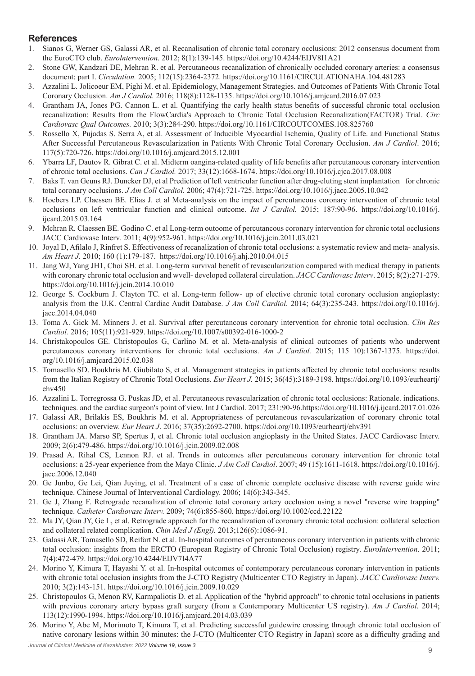# **References**

- 1. Sianos G, Werner GS, Galassi AR, et al. Recanalisation of chronic total coronary occlusions: 2012 consensus document from the EuroCTO club. *Eurolntervention*. 2012; 8(1):139-145. https://doi.org/10.4244/EIJV8I1A21
- 2. Stone GW, Kandzari DE, Mehran R. et al. Percutaneous recanalization of chronically occluded coronary arteries: a consensus document: part I. *Circulation.* 2005; 112(15):2364-2372. https://doi.org/10.1161/CIRCULATIONAHA.104.481283
- 3. Azzalini L. Jolicoeur EM, Pighi M. et al. Epidemiology, Management Strategies. and Outcomes of Patients With Chronic Total Coronary Occlusion. *Am J Cardiol.* 2016; 118(8):1128-1135. https://doi.org/10.1016/j.amjcard.2016.07.023
- 4. Grantham JA, Jones PG. Cannon L. et al. Quantifying the carly health status benefits of successful chronic total occlusion recanalization: Results from the FlowCardia's Approach to Chronic Total Occlusion Recanalization(FACTOR) Trial. *Circ Cardiovasc Qual Outcomes.* 2010; 3(3):284-290. https://doi.org/10.1161/CIRCOUTCOMES.108.825760
- 5. Rossello X, Pujadas S. Serra A, et al. Assessment of Inducible Myocardial Ischemia, Quality of Life. and Functional Status After Successful Percutaneous Revascularization in Patients With Chronic Total Coronary Occlusion. *Am J Cardiol*. 2016; 117(5):720-726. https://doi.org/10.1016/j.amjcard.2015.12.001
- 6. Ybarra LF, Dautov R. Gibrat C. et al. Midterm oangina-related quality of life benefits after percutaneous coronary intervention of chronic total occlusions. *Can J Cardiol.* 2017; 33(12):1668-1674. https://doi.org/10.1016/j.cjca.2017.08.008
- 7. Baks T. van Geuns RJ. Duncker DJ, et al Prediction of left ventricular function after drug-eluting stent implantation\_ for chronic total coronary occlusions. *J Am Coll Cardiol.* 2006; 47(4):721-725. https://doi.org/10.1016/j.jacc.2005.10.042
- 8. Hoebers LP. Claessen BE. Elias J. et al Meta-analysis on the impact of percutaneous coronary intervention of chronic total occlusions on left ventricular function and clinical outcome. *Int J Cardiol.* 2015; 187:90-96. https://doi.org/10.1016/j. ijcard.2015.03.164
- 9. Mchran R. Claessen BE. Godino C. et al Long-term outoome of percutancous coronary intervention for chronic total occlusions JACC Cardiovase Interv. 2011; 4(9):952-961. https://doi.org/10.1016/j.jcin.2011.03.021
- 10. Joyal D, Afilalo J, Rinfret S. Effectiveness of recanalization of chronic total occlusions: a systematic review and meta- analysis. *Am Heart J.* 2010; 160 (1):179-187. https://doi.org/10.1016/j.ahj.2010.04.015
- 11. Jang WJ, Yang JH1, Choi SH. et al. Long-term survival benefit of revascularization compared with medical therapy in patients with coronary chronic total occlusion and wvell- developed collateral circulation. *JACC Cardiovasc Interv*. 2015; 8(2):271-279. https://doi.org/10.1016/j.jcin.2014.10.010
- 12. George S. Cockburn J. Clayton TC. et al. Long-term follow- up of elective chronic total coronary occlusion angioplasty: analysis from the U.K. Central Cardiac Audit Database. *J Am Coll Cardiol.* 2014; 64(3):235-243. https://doi.org/10.1016/j. jacc.2014.04.040
- 13. Toma A. Gick M. Minners J. et al. Survival after percutancous coronary intervention for chronic total occlusion. *Clin Res Cardiol.* 2016; 105(11):921-929. https://doi.org/10.1007/s00392-016-1000-2
- 14. Christakopoulos GE. Christopoulos G, Carlino M. et al. Meta-analysis of clinical outcomes of patients who underwent percutaneous coronary interventions for chronic total occlusions. *Am J Cardiol.* 2015; 115 10):1367-1375. https://doi. org/10.1016/j.amjcard.2015.02.038
- 15. Tomasello SD. Boukhris M. Giubilato S, et al. Management strategies in patients affected by chronic total occlusions: results from the Italian Registry of Chronic Total Occlusions. *Eur Heart J.* 2015; 36(45):3189-3198. https://doi.org/10.1093/eurheartj/ ehv450
- 16. Azzalini L. Torregrossa G. Puskas JD, et al. Percutaneous revascularization of chronic total occlusions: Rationale. indications. techniques. and the cardiac surgeon's point of view. Int J Cardiol. 2017; 231:90-96.https://doi.org/10.1016/j.ijcard.2017.01.026
- 17. Galassi AR, Brilakis ES, Boukhris M. et al. Appropriateness of percutaneous revascularization of coronary chronic total occlusions: an overview. *Eur Heart J*. 2016; 37(35):2692-2700. https://doi.org/10.1093/eurheartj/ehv391
- 18. Grantham JA. Marso SP, Spertus J, et al. Chronic total occlusion angioplasty in the United States. JACC Cardiovasc Interv. 2009; 2(6):479-486. https://doi.org/10.1016/j.jcin.2009.02.008
- 19. Prasad A. Rihal CS, Lennon RJ. et al. Trends in outcomes after percutaneous coronary intervention for chronic total occlusions: a 25-year experience from the Mayo Clinic. *J Am Coll Cardiol*. 2007; 49 (15):1611-1618. https://doi.org/10.1016/j. jacc.2006.12.040
- 20. Ge Junbo, Ge Lei, Qian Juying, et al. Treatment of a case of chronic complete occlusive disease with reverse guide wire technique. Chinese Journal of Interventional Cardiology. 2006; 14(6):343-345.
- 21. Ge J, Zhang F. Retrograde recanalization of chronic total coronary artery occlusion using a novel "reverse wire trapping" technique. *Catheter Cardiovasc Interv.* 2009; 74(6):855-860. https://doi.org/10.1002/ccd.22122
- 22. Ma JY, Qian JY, Ge L, et al. Retrograde approach for the recanalization of coronary chronic total occlusion: collateral selection and collateral related complication. *Chin Med J (Engl).* 2013;126(6):1086-91.
- 23. Galassi AR, Tomasello SD, Reifart N. et al. In-hospital outcomes of percutaneous coronary intervention in patients with chronic total occlusion: insights from the ERCTO (European Registry of Chronic Total Occlusion) registry. *EuroIntervention*. 2011; 7(4):472-479. https://doi.org/10.4244/EIJV7I4A77
- 24. Morino Y, Kimura T, Hayashi Y. et al. In-hospital outcomes of contemporary percutaneous coronary intervention in patients with chronic total occlusion insights from the J-CTO Registry (Multicenter CTO Registry in Japan). *JACC Cardiovasc Interv.*  2010; 3(2):143-151. https://doi.org/10.1016/j.jcin.2009.10.029
- 25. Christopoulos G, Menon RV, Karmpaliotis D. et al. Application of the "hybrid approach" to chronic total occlusions in patients with previous coronary artery bypass graft surgery (from a Contemporary Multicenter US registry). *Am J Cardiol*. 2014; 113(12):1990-1994. https://doi.org/10.1016/j.amjcard.2014.03.039
- 26. Morino Y, Abe M, Morimoto T, Kimura T, et al. Predicting successful guidewire crossing through chronic total occlusion of native coronary lesions within 30 minutes: the J-CTO (Multicenter CTO Registry in Japan) score as a difficulty grading and